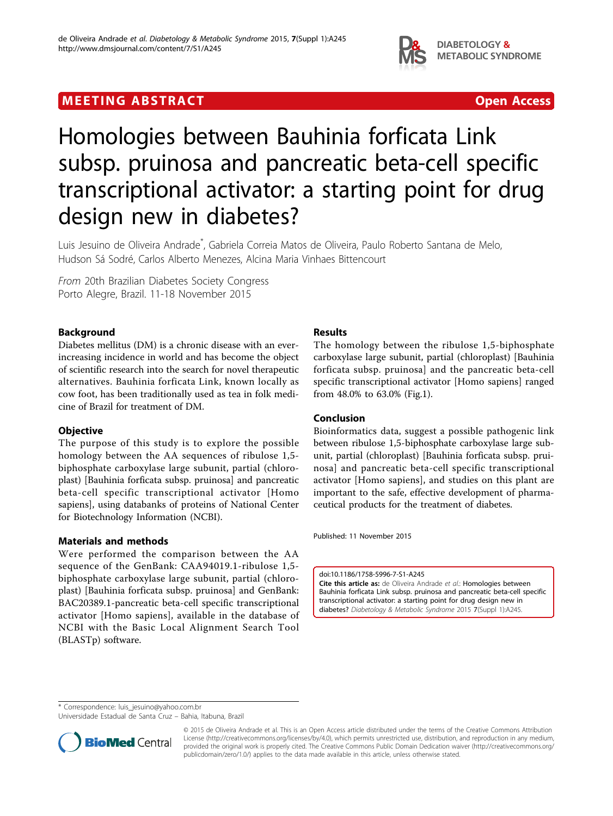

# **MEETING ABSTRACT CONSUMING ABSTRACT**



# Homologies between Bauhinia forficata Link subsp. pruinosa and pancreatic beta-cell specific transcriptional activator: a starting point for drug design new in diabetes?

Luis Jesuino de Oliveira Andrade\* , Gabriela Correia Matos de Oliveira, Paulo Roberto Santana de Melo, Hudson Sá Sodré, Carlos Alberto Menezes, Alcina Maria Vinhaes Bittencourt

From 20th Brazilian Diabetes Society Congress Porto Alegre, Brazil. 11-18 November 2015

## Background

Diabetes mellitus (DM) is a chronic disease with an everincreasing incidence in world and has become the object of scientific research into the search for novel therapeutic alternatives. Bauhinia forficata Link, known locally as cow foot, has been traditionally used as tea in folk medicine of Brazil for treatment of DM.

#### **Objective**

The purpose of this study is to explore the possible homology between the AA sequences of ribulose 1,5 biphosphate carboxylase large subunit, partial (chloroplast) [Bauhinia forficata subsp. pruinosa] and pancreatic beta-cell specific transcriptional activator [Homo sapiens], using databanks of proteins of National Center for Biotechnology Information (NCBI).

#### Materials and methods

Were performed the comparison between the AA sequence of the GenBank: CAA94019.1-ribulose 1,5 biphosphate carboxylase large subunit, partial (chloroplast) [Bauhinia forficata subsp. pruinosa] and GenBank: BAC20389.1-pancreatic beta-cell specific transcriptional activator [Homo sapiens], available in the database of NCBI with the Basic Local Alignment Search Tool (BLASTp) software.

### Results

The homology between the ribulose 1,5-biphosphate carboxylase large subunit, partial (chloroplast) [Bauhinia forficata subsp. pruinosa] and the pancreatic beta-cell specific transcriptional activator [Homo sapiens] ranged from 48.0% to 63.0% (Fig[.1](#page-1-0)).

#### Conclusion

Bioinformatics data, suggest a possible pathogenic link between ribulose 1,5-biphosphate carboxylase large subunit, partial (chloroplast) [Bauhinia forficata subsp. pruinosa] and pancreatic beta-cell specific transcriptional activator [Homo sapiens], and studies on this plant are important to the safe, effective development of pharmaceutical products for the treatment of diabetes.

Published: 11 November 2015

doi:10.1186/1758-5996-7-S1-A245

Cite this article as: de Oliveira Andrade et al.: Homologies between Bauhinia forficata Link subsp. pruinosa and pancreatic beta-cell specific transcriptional activator: a starting point for drug design new in diabetes? Diabetology & Metabolic Syndrome 2015 7(Suppl 1):A245.

\* Correspondence: [luis\\_jesuino@yahoo.com.br](mailto:luis_jesuino@yahoo.com.br)

Universidade Estadual de Santa Cruz – Bahia, Itabuna, Brazil



© 2015 de Oliveira Andrade et al. This is an Open Access article distributed under the terms of the Creative Commons Attribution License [\(http://creativecommons.org/licenses/by/4.0](http://creativecommons.org/licenses/by/4.0)), which permits unrestricted use, distribution, and reproduction in any medium, provided the original work is properly cited. The Creative Commons Public Domain Dedication waiver ([http://creativecommons.org/](http://creativecommons.org/publicdomain/zero/1.0/) [publicdomain/zero/1.0/](http://creativecommons.org/publicdomain/zero/1.0/)) applies to the data made available in this article, unless otherwise stated.